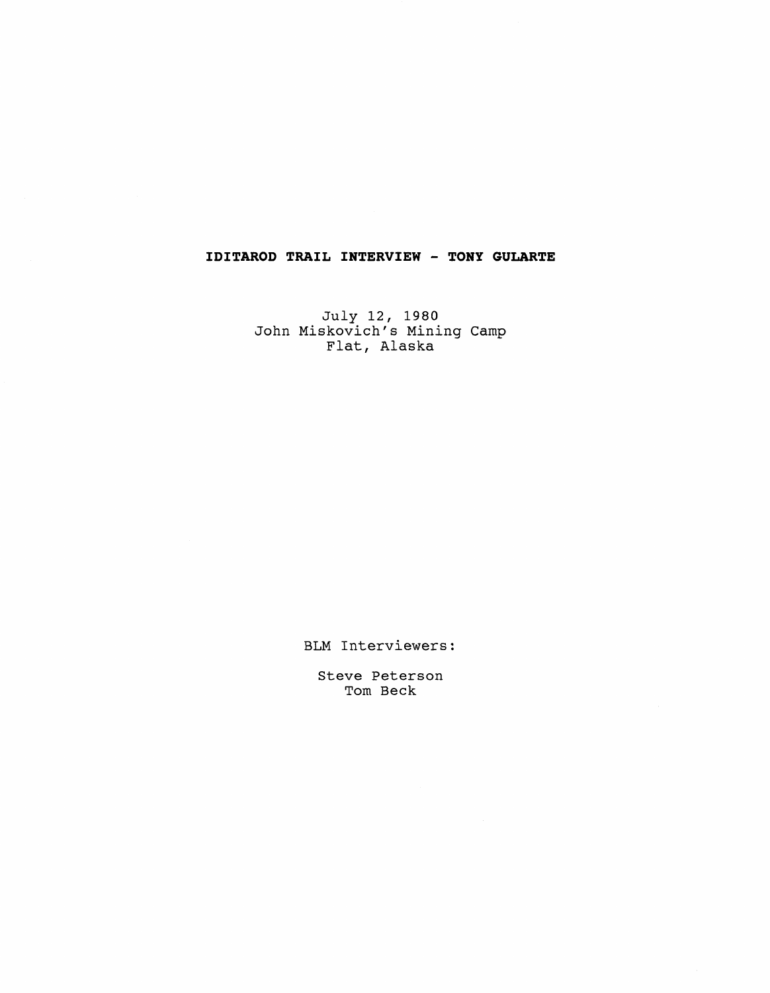## **IDITAROD TRAIL INTERVIEW** - **TONY GULARTE**

July 12, 1980 John Miskovich's Mining Camp Flat, Alaska

BLM Interviewers:

Steve Peterson Tom Beck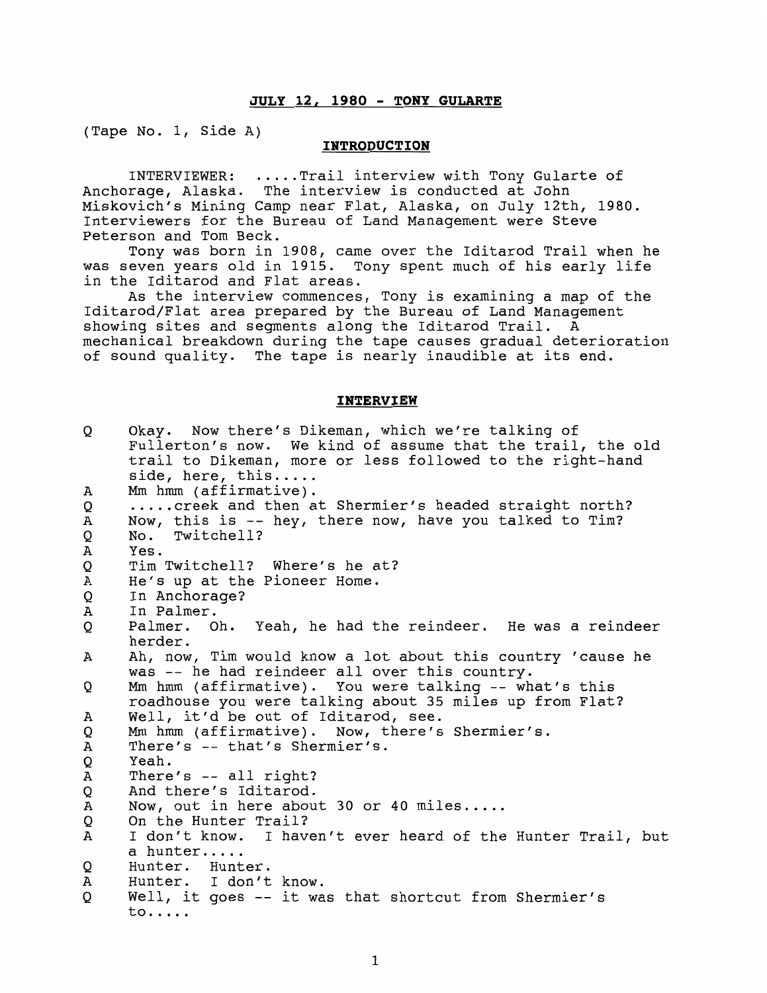## **JULY 12, 1980** - **TONY GULARTE**

(Tape No. 1, Side A)

## **INTRODUCTION**

INTERVIEWER: ..... Trail interview with Tony Gularte of Anchorage, Alaska. The interview is conducted at John Miskovich's Mining Camp near Flat, Alaska, on July 12th, 1980. Interviewers for the Bureau of Land Management were Steve Peterson and Tom Beck.

Tony was born in 1908, came over the Iditarod Trail when he was seven years old in 1915. Tony spent much of his early life in the Iditarod and Flat areas.

As the interview commences, Tony is examining a map of the Iditarod/Flat area prepared by the Bureau of Land Management showing sites and segments along the Iditarod Trail. A mechanical breakdown during the tape causes gradual deterioration of sound quality. The tape is nearly inaudible at its end.

## **INTERVIEW**

| Q      | Okay. Now there's Dikeman, which we're talking of<br>Fullerton's now. We kind of assume that the trail, the old<br>trail to Dikeman, more or less followed to the right-hand<br>side, here, this |
|--------|--------------------------------------------------------------------------------------------------------------------------------------------------------------------------------------------------|
| А      | Mm hmm (affirmative).                                                                                                                                                                            |
| Q      | creek and then at Shermier's headed straight north?                                                                                                                                              |
| Α      | Now, this is -- hey, there now, have you talked to Tim?                                                                                                                                          |
| Q      | No. Twitchell?                                                                                                                                                                                   |
| Α      | Yes.                                                                                                                                                                                             |
| Q      | Tim Twitchell? Where's he at?                                                                                                                                                                    |
| Α      | He's up at the Pioneer Home.                                                                                                                                                                     |
| Q      | In Anchorage?                                                                                                                                                                                    |
| Α      | In Palmer.                                                                                                                                                                                       |
| Q      | Palmer. Oh. Yeah, he had the reindeer. He was a reindeer                                                                                                                                         |
|        | herder.                                                                                                                                                                                          |
| A      | Ah, now, Tim would know a lot about this country 'cause he                                                                                                                                       |
|        | was -- he had reindeer all over this country.                                                                                                                                                    |
| Q      | Mm hmm (affirmative). You were talking -- what's this                                                                                                                                            |
|        | roadhouse you were talking about 35 miles up from Flat?                                                                                                                                          |
| Α      | Well, it'd be out of Iditarod, see.                                                                                                                                                              |
| Q      | Mm hmm (affirmative). Now, there's Shermier's.                                                                                                                                                   |
| Α      | There's -- that's Shermier's.                                                                                                                                                                    |
| Q<br>Α | Yeah.<br>There's $--$ all right?                                                                                                                                                                 |
|        | And there's Iditarod.                                                                                                                                                                            |
| Q<br>Α | Now, out in here about 30 or 40 miles                                                                                                                                                            |
| Q      | On the Hunter Trail?                                                                                                                                                                             |
| A      | I don't know. I haven't ever heard of the Hunter Trail, but                                                                                                                                      |
|        | a hunter                                                                                                                                                                                         |
| Q      | Hunter. Hunter.                                                                                                                                                                                  |
| А      | Hunter. I don't know.                                                                                                                                                                            |
| Q      | Well, it goes -- it was that shortcut from Shermier's                                                                                                                                            |
|        | $\texttt{to} \dots$                                                                                                                                                                              |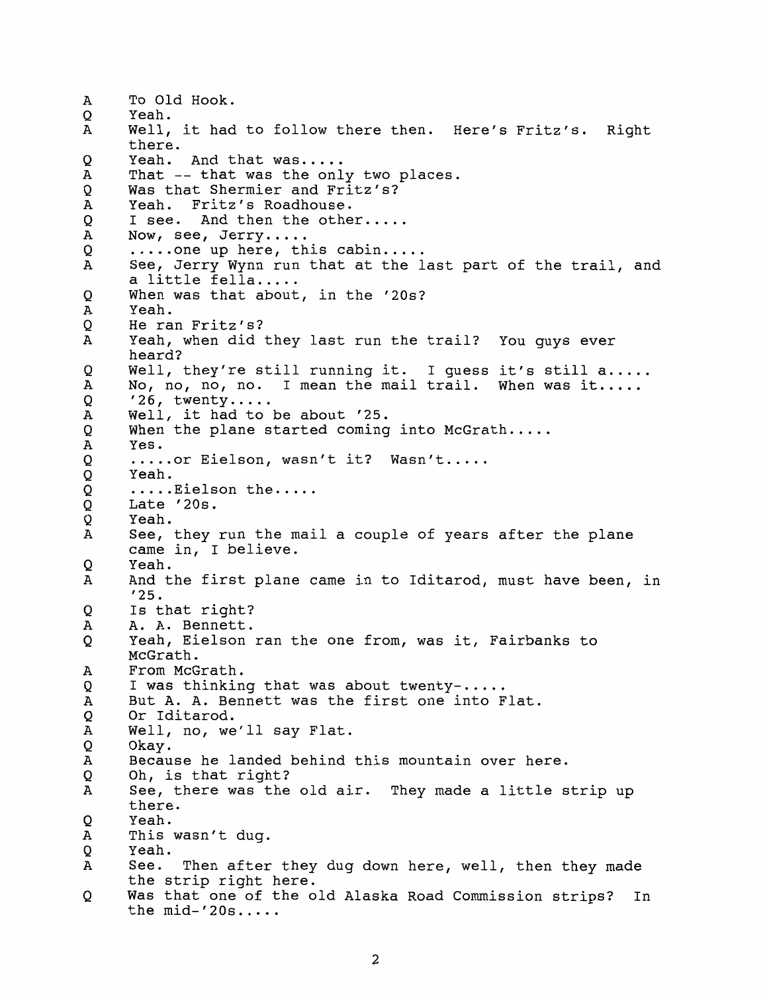$\overline{A}$ To Old Hook. Yeah.  $\Omega$ A Well, it had to follow there then. Here's Fritz's. Right there. Q Yeah. And that was..... That -- that was the only two places. A Was that Shermier and Fritz's?  $\circ$ Yeah. Fritz's Roadhouse.  $\overline{A}$ Q I see. And then the other.....<br>Now, see, Jerry.....<br>.....one up here, this cabin.....<br>See, Jerry Wynn run that at the last part of the trail, and  $\mathbf{A}$  $\mathsf{o}$ A a little fella.....<br>When was that about, in the '20s?  $\mathsf{o}$  $\overline{A}$ Yeah. He ran Fritz's? O Yeah, when did they last run the trail? You guys ever  $\mathbf{A}$ heard?  $\mathsf{o}$ Well, they're still running it. I quess it's still a..... A No, no, no, no. I mean the mail trail. When was it.....<br>'26, twenty.....<br>Well, it had to be about '25. Q  $\mathbf{A}$ When the plane started coming into McGrath..... Q  $\mathbf A$ Yes.  $\circ$ ..... or Eielson, wasn't it? Wasn't..... Q Yeah. Q ..... Eielson the..... Q Late '20s.  $\circ$ Yeah.  $\overline{A}$ See, they run the mail a couple of years after the plane came in, I believe. Yeah. Q And the first plane came in to Iditarod, must have been, in A '25. Q Is that right? A. A. Bennett.  $\mathbf{A}$  $\circ$ Yeah, Eielson ran the one from, was it, Fairbanks to McGrath.<br>From McGrath.  $\overline{A}$  $\circ$ I was thinking that was about twenty- ..... But A. A. Bennett was the first one into Flat.  $\mathbf{A}$ Or Iditarod. Q Well, no, we'll say Flat. A Okay. Q  $\, {\bf A}$ Because he landed behind this mountain over here. Oh, is that right? Q  $\mathbf{A}$ See, there was the old air. They made a little strip up there.  $\mathbf O$ Yeah. This wasn't dug.  $\mathbf{A}$ O Yeah.  $\mathbf{A}$ See. Then after they dug down here, well, then they made the strip right here. Q Was that one of the old Alaska Road Commission strips? In the  $mid-20s...$ .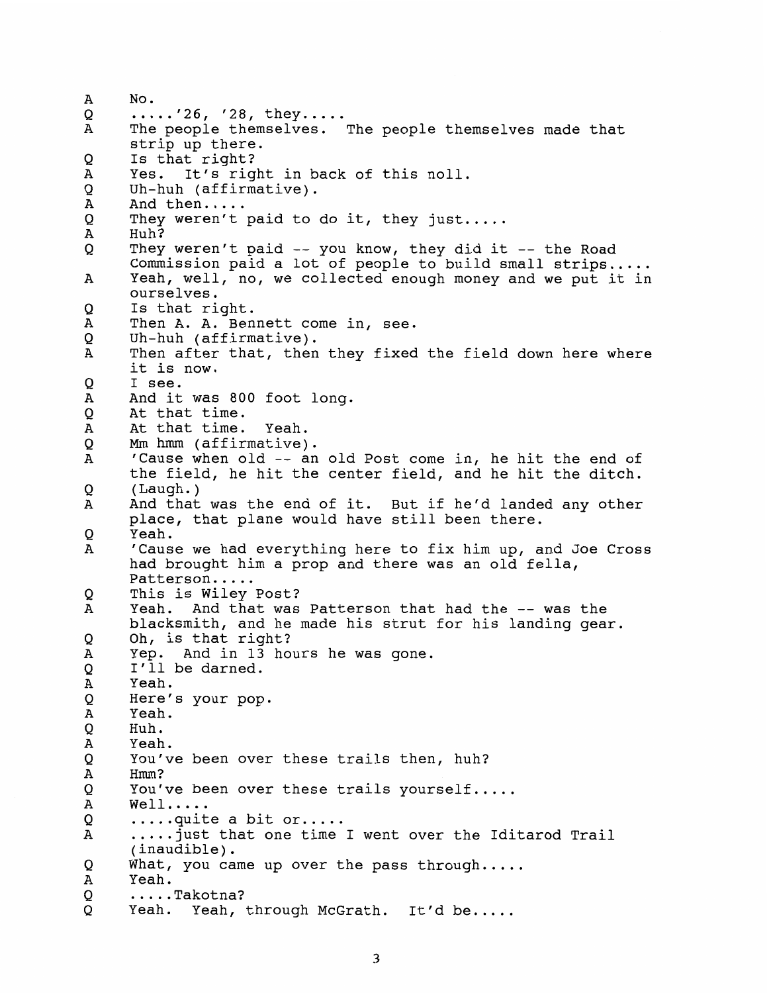$\mathbf{A}$ No. Q .....'26, '28, they.....<br>The people themselves. The people themselves made that  $\mathbf{A}$ strip up there.  $\mathsf{O}$ Is that right? A Yes. It's right in back of this noll.  $\mathsf{o}$ Uh-huh (affirmative).  $\overline{A}$ And then..... They weren't paid to do it, they just.....<br>Huh?  $\mathsf{o}$  $\overline{A}$  $\circ$ They weren't paid -- you know, they did it -- the Road Commission paid a lot of people to build small strips ..... Yeah, well, no, we collected enough money and we put it in  $\mathbf{A}$ ourselves. O Is that right. Then A. A. Bennett come in, see.  $\mathbf{A}$ O Uh-huh (affirmative).  $\overline{A}$ Then after that, then they fixed the field down here where it is now.  $\overline{O}$ I see. And it was 800 foot long.  $\mathbf{A}$  $\circ$ At that time.  $\overline{A}$ At that time. Yeah. **Mm** hrnm (affirmative). O  $\overline{A}$ 'Cause when old -- an old Post come in, he hit the end of the field, he hit the center field, and he hit the ditch.  $\Omega$ ( Laugh. )  $\mathbf{A}$ And that was the end of it. But if he'd landed any other place, that plane would have still been there.  $\mathsf{o}$ Yeah. 'Cause we had everything here to fix him up, and Joe Cross A had brought him a prop and there was an old fella, Patterson.....  $\circ$ This is Wiley Post? Yeah. And that was Patterson that had the -- was the A blacksmith, and he made his strut for his landing gear. O Oh, is that right?  $\overline{A}$ Yep. And in 13 hours he was gone. I'll be darned. Q  $\overline{A}$ Yeah.  $\mathsf{O}$ Here's your pop.  $\mathbf A$ Yeah. Q Huh.  $\, {\bf A}$ Yeah.  $\circ$ You've been over these trails then, huh?  $\mathbf A$ Hmm? Q You've been over these trails yourself.....<br>Well.....<br>....quite a bit or..... Α Q  $\mathbf{A}$ .....just that one time I went over the Iditarod Trail (inaudible). Q What, you came up over the pass through.....<br>Yeah. A Q ..... Takotna? O Yeah. Yeah, through McGrath. It'd be.....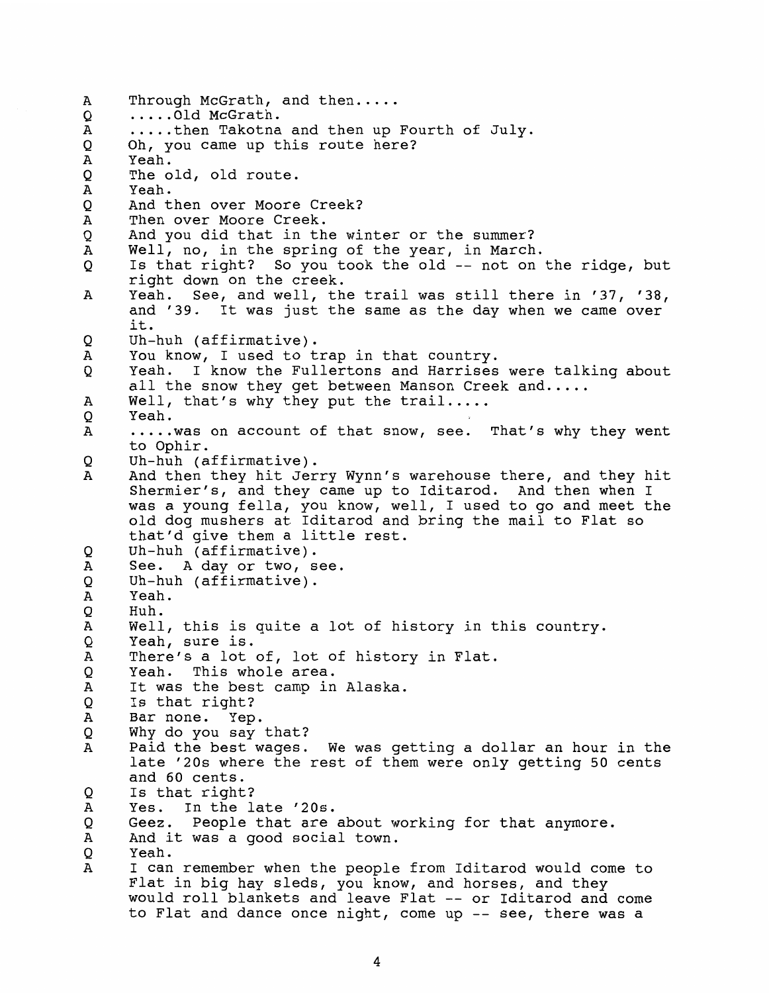Through McGrath, and then.....<br>.....Old McGrath.<br>.....then Takotna and then up Fourth of July.  $\mathbf{A}$  $\circ$  $\overline{A}$ Q Oh, you came up this route here? Yeah.  $\mathbf{A}$ O The old, old route.  $\mathbf{A}$ Yeah.  $\circ$ And then over Moore Creek?  $\overline{A}$ Then over Moore Creek. And you did that in the winter or the summer?  $\mathsf{O}$  $\tt A$ Well, no, in the spring of the year, in March. Is that right? So you took the old -- not on the ridge, but  $\mathsf{O}$ right down on the creek. Yeah. See, and well, the trail was still there in '37, '38,  $\overline{A}$ and '39. It was just the same as the day when we came over it. Uh-huh (affirmative). O  $\mathbf{A}$ You know, I used to trap in that country.  $\circ$ Yeah. I know the Fullertons and Harrises were talking about all the snow they get between Manson Creek and.....<br>Well, that's why they put the trail.....<br>Yeah.  $\overline{A}$ O  $\mathbf{A}$ ..... was on account of that snow, see. That's why they went to Ophir.  $\Omega$ Uh-huh (affirmative). And then they hit Jerry Wynn's warehouse there, and they hit A Shermier's, and they came up to Iditarod. And then when I was a young fella, you know, well, I used to go and meet the old dog mushers at Iditarod and bring the mail to Flat so that'd give them a little rest. Q Uh-huh (affirmative).  $\mathbf A$ See. A day or two, see. Q Uh-huh (affirmative).  $\mathbf{A}$ Yeah. Q Huh.  $\overline{A}$ Well, this is quite a lot of history in this country. Yeah, sure is. Q There's a lot of, lot of history in Flat.  $\overline{A}$  $\circ$ Yeah. This whole area. It was the best camp in Alaska. Α Q Is that right?  $\, {\bf A}$ Bar none. Yep. Q Why do you say that?  $\mathbf{A}$ Paid the best-wages. We was getting a dollar an hour in the late '20s where the rest of them were only getting 50 cents and 60 cents. Q Is that right?  $\mathbf A$ Yes. In the late '20s. Q Geez. People that are about working for that anymore.  $\mathbf{A}$ And it was a good social town. Yeah. Q  $\overline{A}$ I can remember when the people from Iditarod would come to Flat in big hay sleds, you know, and horses, and they would roll blankets and leave Flat -- or Iditarod and come to Flat and dance once night, come up -- see, there was a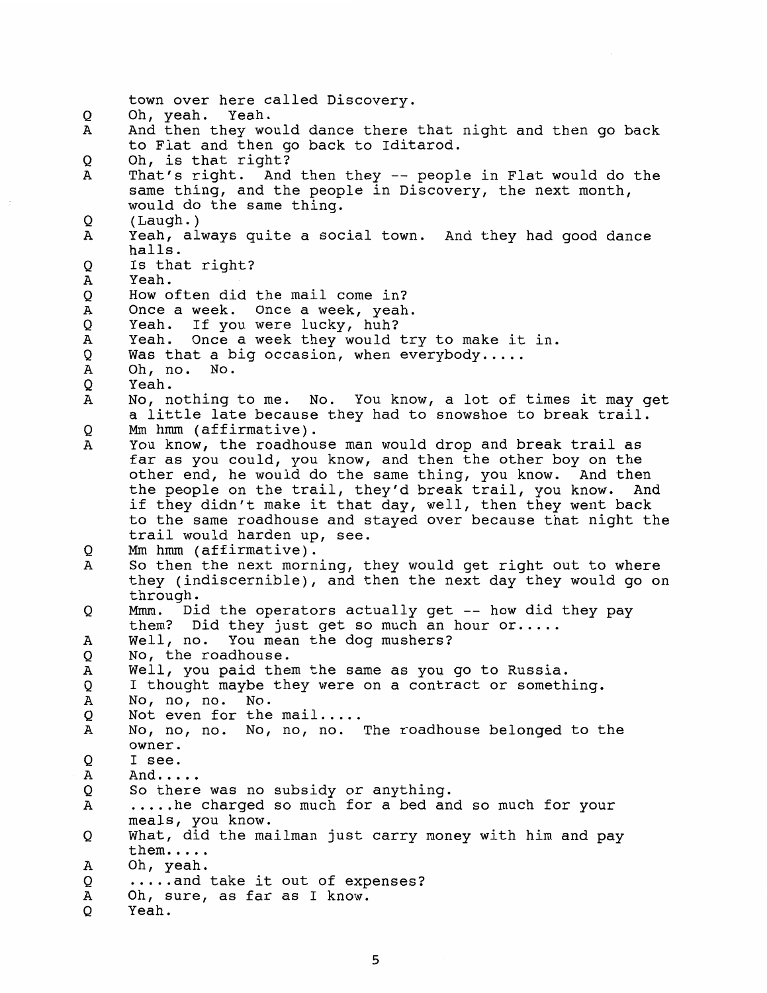```
town over here called Discovery. 
      Oh, yeah. Yeah. 
\OmegaA
      And then they would dance there that night and then go back 
      to Flat and then go back to Iditarod. 
Q
      Oh, is that right? 
      That's right. And then they -- people in Flat would do the 
\overline{A}same thing, and the people in Discovery, the next month, 
      would do the same thing. 
O
      ( Laugh. ) 
      Yeah, always quite a social town. And they had good dance
\mathbf{A}halls. 
O
      Is that right? 
\mathbf{A}Yeah. 
Q
      How often did the mail come in? 
      Once a week. Once a week, yeah. 
\overline{A}Q
      Yeah. If you were lucky, huh? 
      Yeah. Once a week they would try to make it in. 
\mathbf AQ
      Was that a big occasion, when everybody.....<br>Oh, no. No.
\, {\bf A}\circYeah. 
\overline{A}No, nothing to me. No. You know, a lot of times it may get 
      a little late because they had to snowshoe to break trail. 
      Mm hmm (affirmative). 
Q
\mathbf{A}You know, the roadhouse man would drop and break trail as 
      far as you could, you know, and then the other boy on the 
      other end, he would do the same thing, you know. And then 
      the people on the trail, they'd break trail, you know. And 
      if they didn't make it that day, well, then they went back 
      to the same roadhouse and stayed over because that night the 
      trail would harden up, see. 
      Mm hmm (affirmative). 
Q
      So then the next morning, they would get right out to where 
A
      they (indiscernible), and then the next day they would go on 
      through. 
      Mmm. Did the operators actually get -- how did they pay
O
      them? Did they just get so much an hour or..... 
      Well, no. You mean the dog mushers? 
A
      No, the roadhouse. 
Q
      Well, you paid them the same as you go to Russia. 
\overline{A}Q
      I thought maybe they were on a contract or something. 
\mathbf{A}No, no, no. No. 
Q
      Not even for the mail.....<br>No, no, no. No, no, no. The roadhouse belonged to the
\mathbf{A}owner. 
\mathsf{o}I see. 
\overline{\mathbf{A}}And.....<br>So there was no subsidy or anything.<br>.....he charged so much for a bed and so much for your
Q
A
      meals, you know. 
      What, did the mailman just carry money with him and pay 
Q
      them.....<br>Oh, yeah.<br>.....and take it out of expenses?
\overline{A}O
      Oh, sure, as far as I know. 
A
O
      Yeah.
```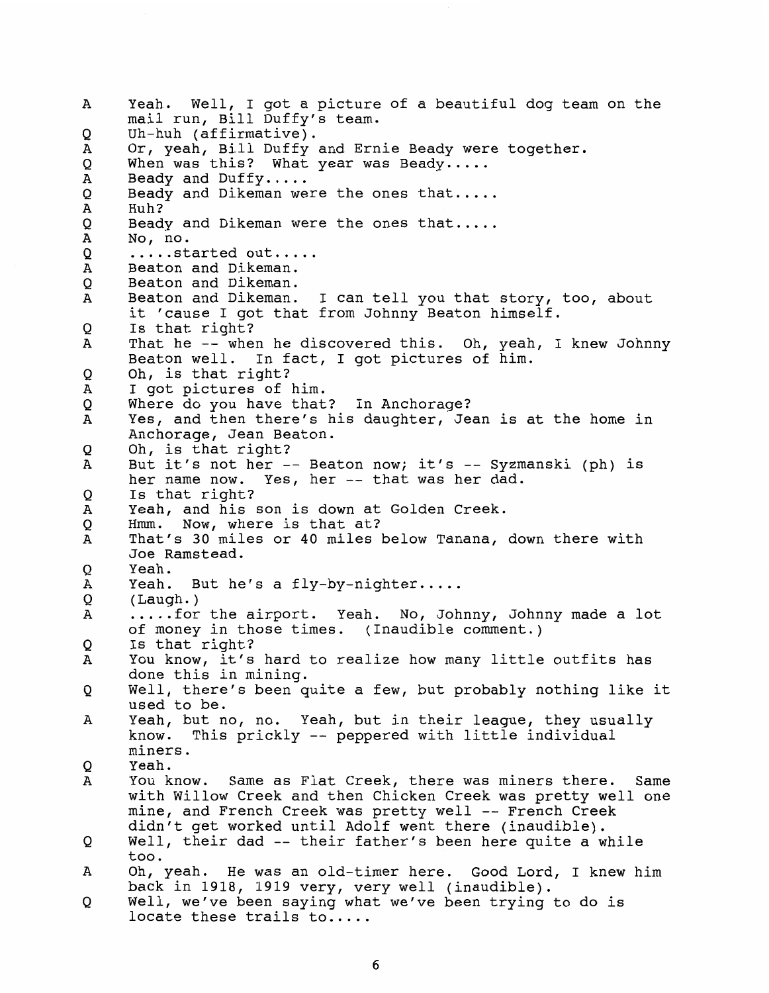Yeah. Well, I got a picture of a beautiful dog team on the Α mail run, Bill Duffy's team. Uh-huh (affirmative).  $\mathsf{O}$ Or, yeah, Bill Duffy and Ernie Beady were together. A Q When was this? What year was Beady.....<br>Beady and Duffy.....<br>Beady and Dikeman were the ones that.....<br>Huh?  $\boldsymbol{A}$ Q Α Beady and Dikeman were the ones that..... Q Α No, no.<br>.....started out..... Q Beaton and Dikeman. Α Q Beaton and Dikeman. Beaton and Dikeman. I can tell you that story, too, about Α it 'cause I got that from Johnny Beaton himself. Is that right? O That he -- when he discovered this. Oh, yeah, I knew Johnny  $\mathbf{A}$ Beaton well. In fact, I got pictures of him. Oh, is that right? O A I got pictures of him. Where do you have that? In Anchorage?  $\circ$ Yes, and then there's his daughter, Jean is at the home in A Anchorage, Jean Beaton. Oh, is that right? Q A But it's not her -- Beaton now; it's -- Syzmanski (ph) is her name now. Yes, her -- that was her dad. Q Is that right? Yeah, and his son is down at Golden Creek. A Hmm. Now, where is that at? Q That's 30 miles or 40 miles below Tanana, down there with Α Joe Ramstead. O Yeah. Yeah. But he's a fly-by-nighter.....<br>(Laugh.) А  $\mathsf{O}$ ..... for the airport. Yeah. No, Johnny, Johnny made a lot A of money in those times. (Inaudible comment.) Is that right? O You know, it's hard to realize how many little outfits has  $\mathbf{A}$ done this in mining. Well, there's been quite a few, but probably nothing like it Q used to be. Yeah, but no, no. Yeah, but in their league, they usually A know. This prickly -- peppered with little individual miners. Yeah. Q You know. Same as Flat Creek, there was miners there. Same Α with Willow Creek and then Chicken Creek was pretty well one mine, and French Creek was pretty well -- French Creek didn't get worked until Adolf went there (inaudible). Well, their dad -- their father's been here quite a while Q too. Oh, yeah. He was an old-timer here. Good Lord, I knew him Α back in 1918, 1919 very, very well (inaudible). Well, we've been saying what we've been trying to do is Q locate these trails to.....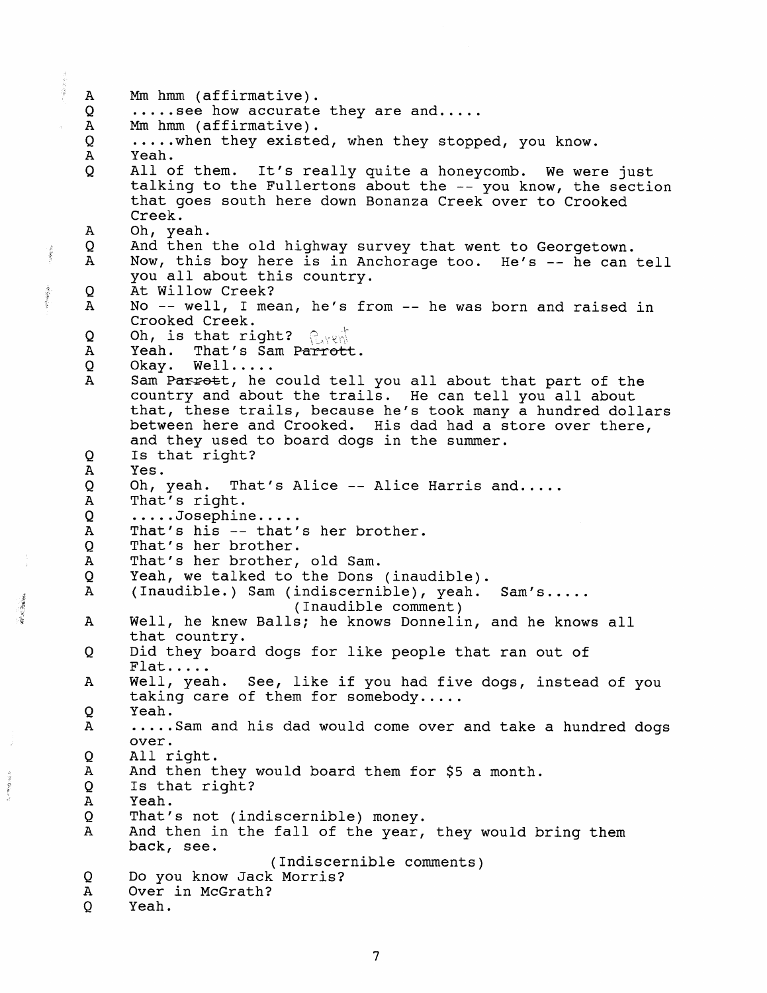Mm hmm (affirmative).<br>.....see how accurate they are and.....<br>Mm hmm (affirmative).  $\mathbf{A}$  $Q$  $\mathbf{A}$ Q ..... when they existed, when they stopped, you know.  $\mathbf{A}$ Yeah.  $\Omega$ All of them. It's really quite a honeycomb. We were just talking to the Fullertons about the -- you know, the section that goes south here down Bonanza Creek over to Crooked Creek.  $\boldsymbol{A}$ Oh, yeah.  $\Omega$ And then the old highway survey that went to Georgetown.  $\mathbf{A}$ NOW, this boy here is in Anchorage too. He's -- he can tell you all about this country.  $\circ$ At Willow Creek? No -- well, I mean, he's from -- he was born and raised in  $\mathbf{A}$ Crooked Creek. Q Oh, is that right?  $\mathbb{Q}_{\mathcal{N}}\otimes\mathcal{N}$  $\mathbf{A}$ Yeah. That's Sam Parrott. Q Okay. Well.....  $\mathbf{A}$ Sam Parrott, he could tell you all about that part of the country and about the trails. He can tell you all about that, these trails, because he's took many a hundred dollars between here and Crooked. His dad had a store over there, and they used to board dogs in the summer. Q Is that right?  $\mathbf{A}$ Yes. Q Oh, yeah. That's Alice -- Alice Harris and.....<br>That's right.  $\overline{A}$ Q .....Josephine.....<br>That's his -- that's her brother.  $\mathbf{A}$ Q. That's her brother.  $\mathbf{A}$ That's her brother, old Sam. Yeah, we talked to the Dons (inaudible).  $\circ$  $\overline{A}$ (Inaudible.) Sam (indiscernible), yeah. Sam's..... (Inaudible comment) Well, he knew Balls; he knows Donnelin, and he knows all  $\mathbf{A}$ that country. Did they board dogs for like people that ran out of O Flat.....<br>Well, yeah. See, like if you had five dogs, instead of you A taking care of them for somebody.....<br>Yeah. O ..... Sam and his dad would come over and take a hundred dogs  $\mathbf{A}$ over. Q All right. A And then they would board them for \$5 a month. Q Is that right?  $\mathbf A$ Yeah. Q That's not (indiscernible) money.  $\bf{A}$ And then in the fall of the year, they would bring them back, see. (Indiscernible comments) Do you know Jack Morris? Q  $\mathbf{A}$ Over in McGrath?  $\mathbf Q$ Yeah.

 $\sim$   $\approx$   $\sim$ 

化四氟化